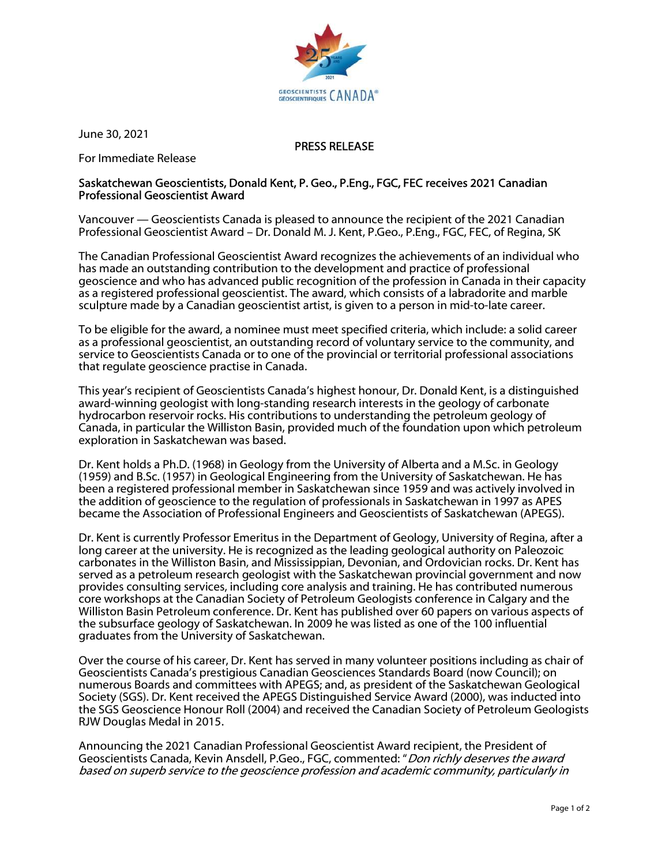

June 30, 2021

## PRESS RELEASE

For Immediate Release

## Saskatchewan Geoscientists, Donald Kent, P. Geo., P.Eng., FGC, FEC receives 2021 Canadian Professional Geoscientist Award

Vancouver — Geoscientists Canada is pleased to announce the recipient of the 2021 Canadian Professional Geoscientist Award – Dr. Donald M. J. Kent, P.Geo., P.Eng., FGC, FEC, of Regina, SK

The Canadian Professional Geoscientist Award recognizes the achievements of an individual who has made an outstanding contribution to the development and practice of professional geoscience and who has advanced public recognition of the profession in Canada in their capacity as a registered professional geoscientist. The award, which consists of a labradorite and marble sculpture made by a Canadian geoscientist artist, is given to a person in mid-to-late career.

To be eligible for the award, a nominee must meet specified criteria, which include: a solid career as a professional geoscientist, an outstanding record of voluntary service to the community, and service to Geoscientists Canada or to one of the provincial or territorial professional associations that regulate geoscience practise in Canada.

This year's recipient of Geoscientists Canada's highest honour, Dr. Donald Kent, is a distinguished award-winning geologist with long-standing research interests in the geology of carbonate hydrocarbon reservoir rocks. His contributions to understanding the petroleum geology of Canada, in particular the Williston Basin, provided much of the foundation upon which petroleum exploration in Saskatchewan was based.

Dr. Kent holds a Ph.D. (1968) in Geology from the University of Alberta and a M.Sc. in Geology (1959) and B.Sc. (1957) in Geological Engineering from the University of Saskatchewan. He has been a registered professional member in Saskatchewan since 1959 and was actively involved in the addition of geoscience to the regulation of professionals in Saskatchewan in 1997 as APES became the Association of Professional Engineers and Geoscientists of Saskatchewan (APEGS).

Dr. Kent is currently Professor Emeritus in the Department of Geology, University of Regina, after a long career at the university. He is recognized as the leading geological authority on Paleozoic carbonates in the Williston Basin, and Mississippian, Devonian, and Ordovician rocks. Dr. Kent has served as a petroleum research geologist with the Saskatchewan provincial government and now provides consulting services, including core analysis and training. He has contributed numerous core workshops at the Canadian Society of Petroleum Geologists conference in Calgary and the Williston Basin Petroleum conference. Dr. Kent has published over 60 papers on various aspects of the subsurface geology of Saskatchewan. In 2009 he was listed as one of the 100 influential graduates from the University of Saskatchewan.

Over the course of his career, Dr. Kent has served in many volunteer positions including as chair of Geoscientists Canada's prestigious Canadian Geosciences Standards Board (now Council); on numerous Boards and committees with APEGS; and, as president of the Saskatchewan Geological Society (SGS). Dr. Kent received the APEGS Distinguished Service Award (2000), was inducted into the SGS Geoscience Honour Roll (2004) and received the Canadian Society of Petroleum Geologists RJW Douglas Medal in 2015.

Announcing the 2021 Canadian Professional Geoscientist Award recipient, the President of Geoscientists Canada, Kevin Ansdell, P.Geo., FGC, commented: "*Don richly deserves the award* based on superb service to the geoscience profession and academic community, particularly in